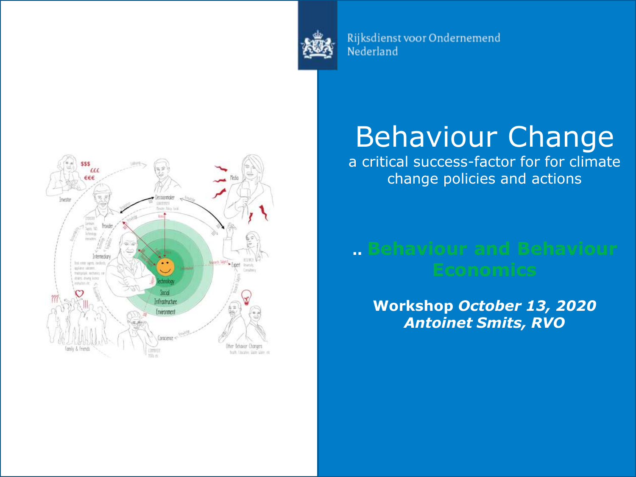

Rijksdienst voor Ondernemend Nederland



# Behaviour Change

a critical success-factor for for climate change policies and actions

# **.. Behaviour and Behaviour**

**Workshop** *October 13, 2020 Antoinet Smits, RVO*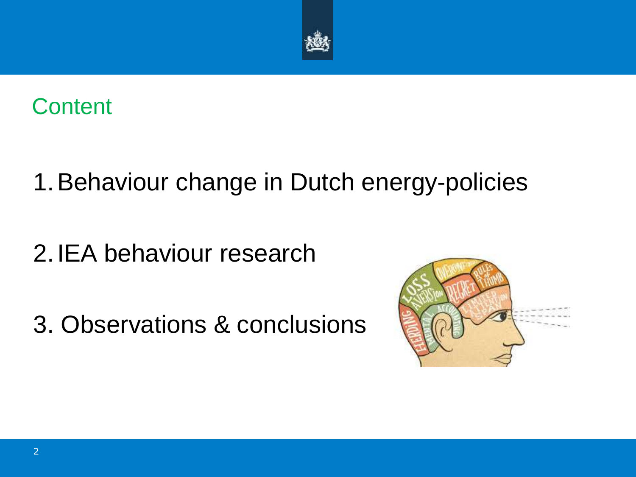



## 1.Behaviour change in Dutch energy-policies

2.IEA behaviour research

3. Observations & conclusions

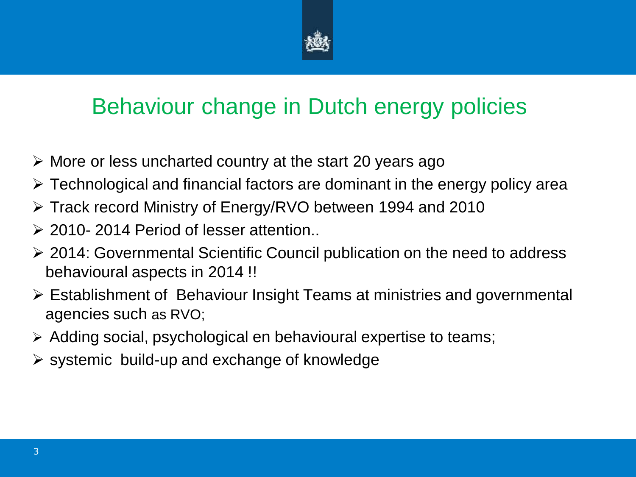

#### Behaviour change in Dutch energy policies

- $\triangleright$  More or less uncharted country at the start 20 years ago
- $\triangleright$  Technological and financial factors are dominant in the energy policy area
- Track record Ministry of Energy/RVO between 1994 and 2010
- **2010-2014 Period of lesser attention..**
- 2014: Governmental Scientific Council publication on the need to address behavioural aspects in 2014 !!
- Establishment of Behaviour Insight Teams at ministries and governmental agencies such as RVO;
- Adding social, psychological en behavioural expertise to teams;
- $\triangleright$  systemic build-up and exchange of knowledge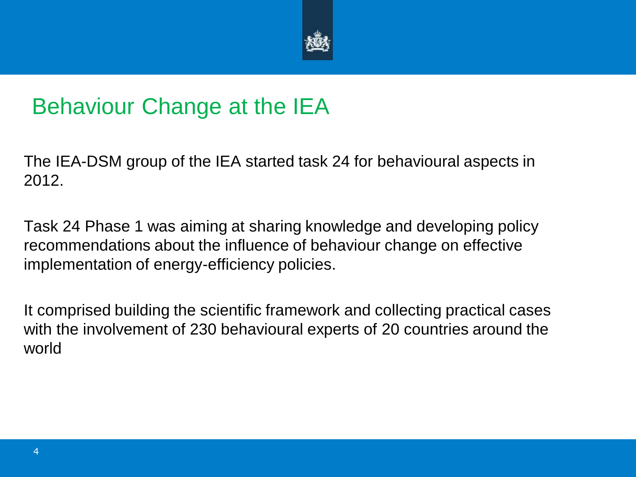

#### Behaviour Change at the IEA

The IEA-DSM group of the IEA started task 24 for behavioural aspects in 2012.

Task 24 Phase 1 was aiming at sharing knowledge and developing policy recommendations about the influence of behaviour change on effective implementation of energy-efficiency policies.

It comprised building the scientific framework and collecting practical cases with the involvement of 230 behavioural experts of 20 countries around the world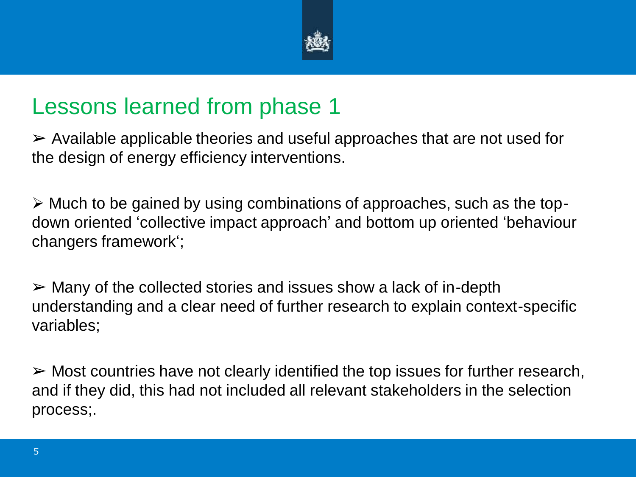

#### Lessons learned from phase 1

 $\triangleright$  Available applicable theories and useful approaches that are not used for the design of energy efficiency interventions.

 $\triangleright$  Much to be gained by using combinations of approaches, such as the topdown oriented 'collective impact approach' and bottom up oriented 'behaviour changers framework';

 $\triangleright$  Many of the collected stories and issues show a lack of in-depth understanding and a clear need of further research to explain context-specific variables;

 $\triangleright$  Most countries have not clearly identified the top issues for further research, and if they did, this had not included all relevant stakeholders in the selection process;.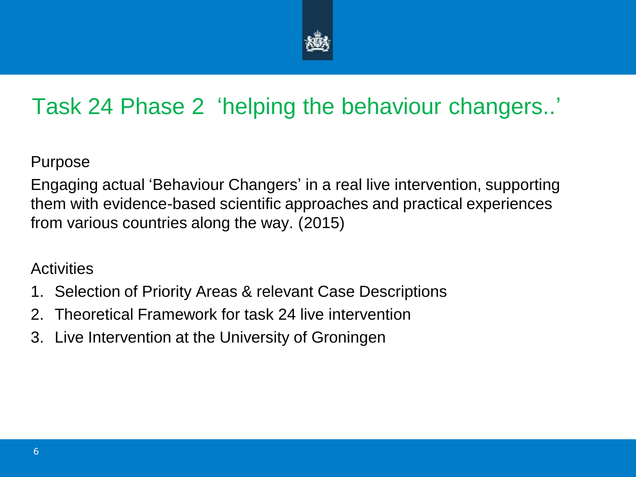

### Task 24 Phase 2 'helping the behaviour changers..'

Purpose

Engaging actual 'Behaviour Changers' in a real live intervention, supporting them with evidence-based scientific approaches and practical experiences from various countries along the way. (2015)

#### **Activities**

- 1. Selection of Priority Areas & relevant Case Descriptions
- 2. Theoretical Framework for task 24 live intervention
- 3. Live Intervention at the University of Groningen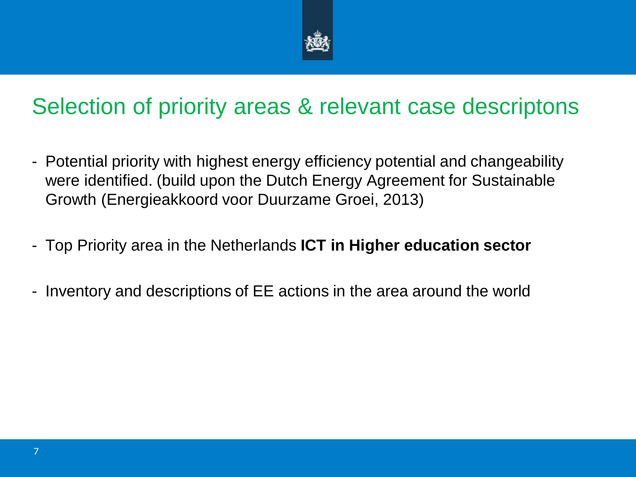

#### Selection of priority areas & relevant case descriptons

- Potential priority with highest energy efficiency potential and changeability were identified. (build upon the Dutch Energy Agreement for Sustainable Growth (Energieakkoord voor Duurzame Groei, 2013)
- Top Priority area in the Netherlands **ICT in Higher education sector**
- Inventory and descriptions of EE actions in the area around the world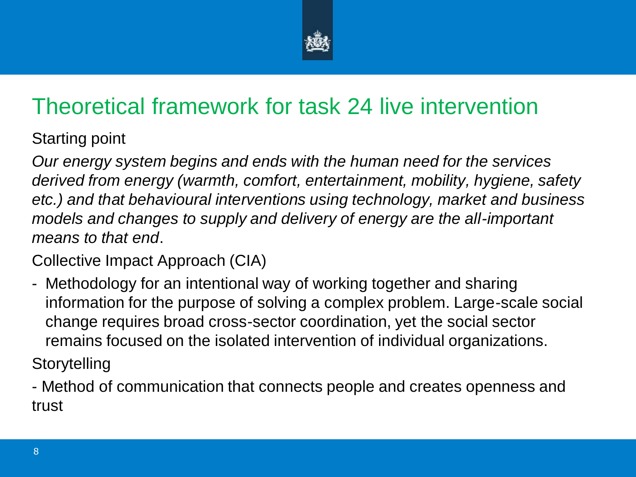

### Theoretical framework for task 24 live intervention

Starting point

*Our energy system begins and ends with the human need for the services derived from energy (warmth, comfort, entertainment, mobility, hygiene, safety etc.) and that behavioural interventions using technology, market and business models and changes to supply and delivery of energy are the all-important means to that end*.

Collective Impact Approach (CIA)

- Methodology for an intentional way of working together and sharing information for the purpose of solving a complex problem. Large-scale social change requires broad cross-sector coordination, yet the social sector remains focused on the isolated intervention of individual organizations. **Storytelling** 

- Method of communication that connects people and creates openness and trust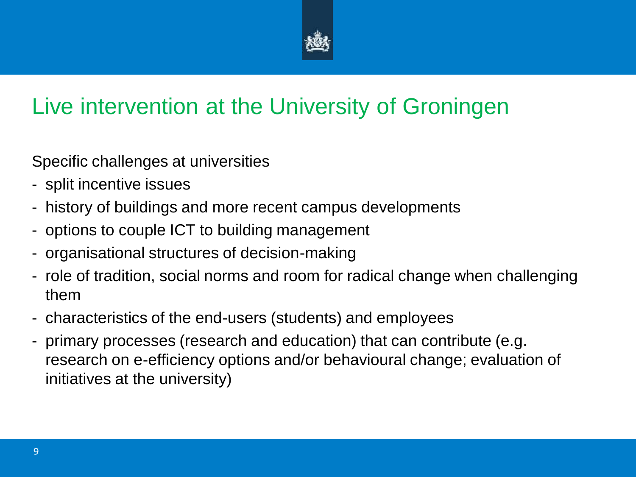

#### Live intervention at the University of Groningen

Specific challenges at universities

- split incentive issues
- history of buildings and more recent campus developments
- options to couple ICT to building management
- organisational structures of decision-making
- role of tradition, social norms and room for radical change when challenging them
- characteristics of the end-users (students) and employees
- primary processes (research and education) that can contribute (e.g. research on e-efficiency options and/or behavioural change; evaluation of initiatives at the university)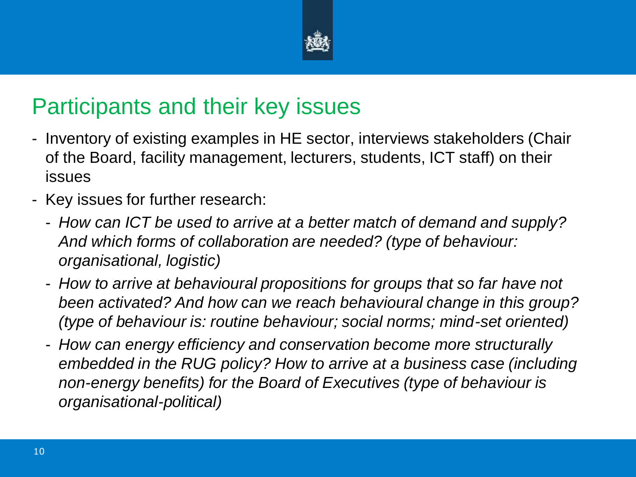

#### Participants and their key issues

- Inventory of existing examples in HE sector, interviews stakeholders (Chair of the Board, facility management, lecturers, students, ICT staff) on their issues
- Key issues for further research:
	- *How can ICT be used to arrive at a better match of demand and supply? And which forms of collaboration are needed? (type of behaviour: organisational, logistic)*
	- *How to arrive at behavioural propositions for groups that so far have not been activated? And how can we reach behavioural change in this group? (type of behaviour is: routine behaviour; social norms; mind-set oriented)*
	- *How can energy efficiency and conservation become more structurally embedded in the RUG policy? How to arrive at a business case (including non-energy benefits) for the Board of Executives (type of behaviour is organisational-political)*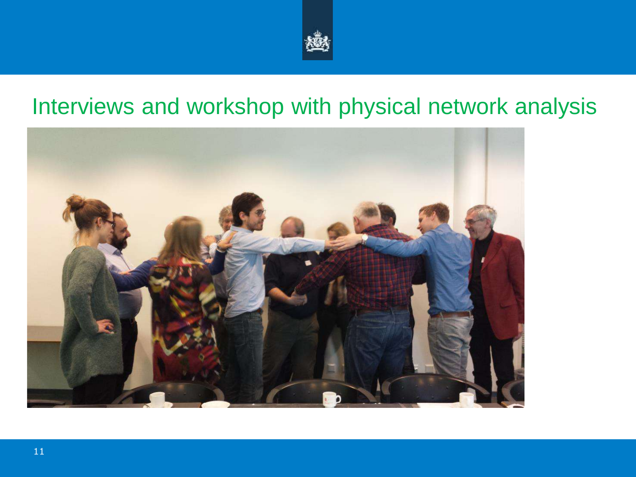

#### Interviews and workshop with physical network analysis

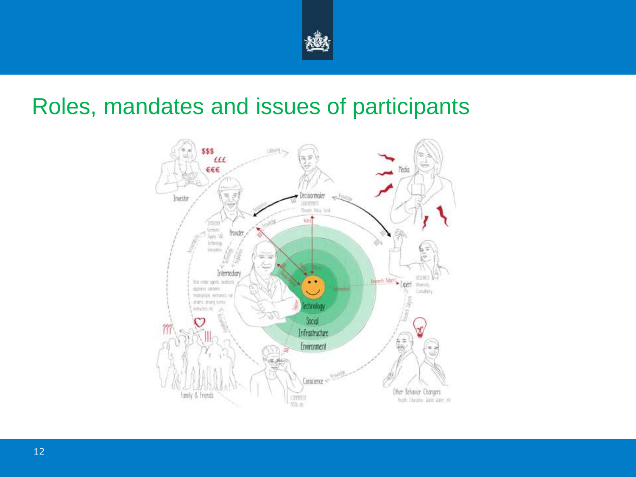

#### Roles, mandates and issues of participants

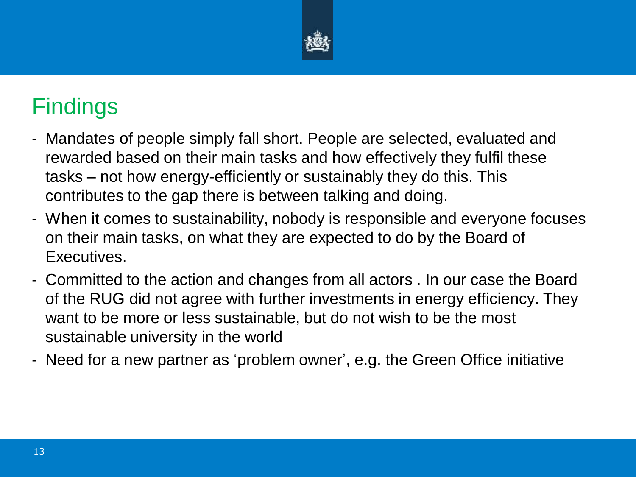

### **Findings**

- Mandates of people simply fall short. People are selected, evaluated and rewarded based on their main tasks and how effectively they fulfil these tasks – not how energy-efficiently or sustainably they do this. This contributes to the gap there is between talking and doing.
- When it comes to sustainability, nobody is responsible and everyone focuses on their main tasks, on what they are expected to do by the Board of Executives.
- Committed to the action and changes from all actors . In our case the Board of the RUG did not agree with further investments in energy efficiency. They want to be more or less sustainable, but do not wish to be the most sustainable university in the world
- Need for a new partner as 'problem owner', e.g. the Green Office initiative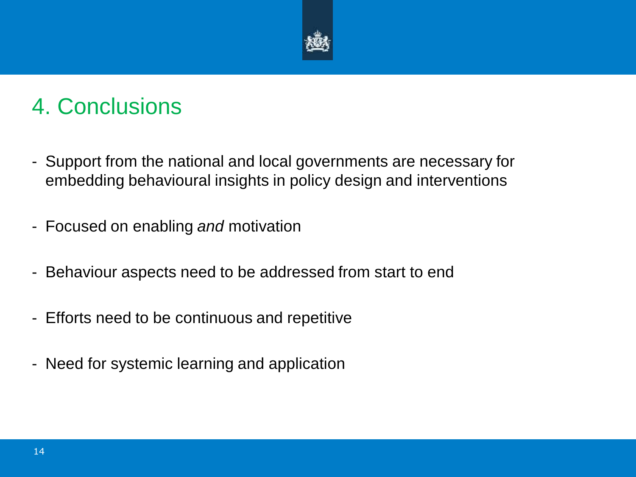

### 4. Conclusions

- Support from the national and local governments are necessary for embedding behavioural insights in policy design and interventions
- Focused on enabling *and* motivation
- Behaviour aspects need to be addressed from start to end
- Efforts need to be continuous and repetitive
- Need for systemic learning and application